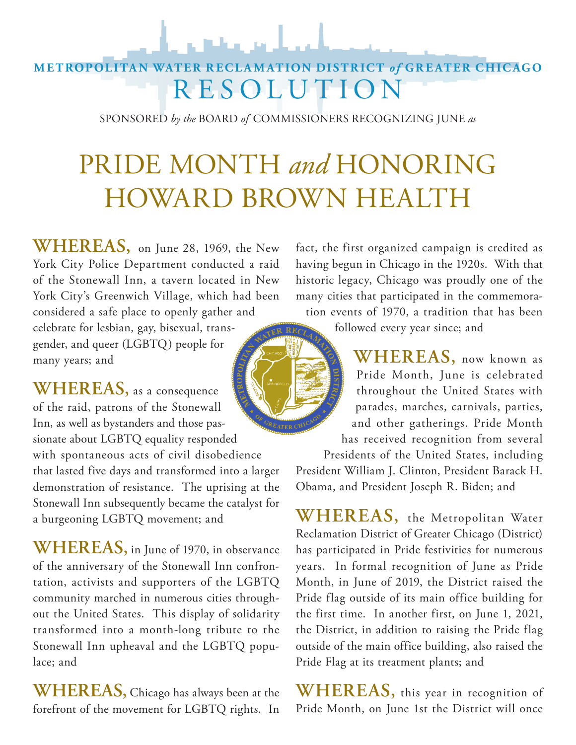### **METROPOLITAN WATER RECLAMATION DISTRICT** *of* **GREATER CHICAGO RESOLUTION**

SPONSORED *by the* BOARD *of* COMMISSIONERS RECOGNIZING JUNE *as* 

# PRIDE MONTH *and* HONORING HOWARD BROWN HEALTH

**WHEREAS,** on June 28, 1969, the New York City Police Department conducted a raid of the Stonewall Inn, a tavern located in New York City's Greenwich Village, which had been considered a safe place to openly gather and

celebrate for lesbian, gay, bisexual, transgender, and queer (LGBTQ) people for many years; and

**WHEREAS,** as a consequence of the raid, patrons of the Stonewall Inn, as well as bystanders and those passionate about LGBTQ equality responded with spontaneous acts of civil disobedience that lasted five days and transformed into a larger demonstration of resistance. The uprising at the Stonewall Inn subsequently became the catalyst for a burgeoning LGBTQ movement; and

**WHEREAS,** in June of 1970, in observance of the anniversary of the Stonewall Inn confrontation, activists and supporters of the LGBTQ community marched in numerous cities throughout the United States. This display of solidarity transformed into a month-long tribute to the Stonewall Inn upheaval and the LGBTQ populace; and

**WHEREAS,** Chicago has always been at the forefront of the movement for LGBTQ rights. In

fact, the first organized campaign is credited as having begun in Chicago in the 1920s. With that historic legacy, Chicago was proudly one of the many cities that participated in the commemoration events of 1970, a tradition that has been

followed every year since; and

**WHEREAS,** now known as Pride Month, June is celebrated throughout the United States with parades, marches, carnivals, parties, and other gatherings. Pride Month has received recognition from several

Presidents of the United States, including President William J. Clinton, President Barack H. Obama, and President Joseph R. Biden; and

**WHEREAS,** the Metropolitan Water Reclamation District of Greater Chicago (District) has participated in Pride festivities for numerous years. In formal recognition of June as Pride Month, in June of 2019, the District raised the Pride flag outside of its main office building for the first time. In another first, on June 1, 2021, the District, in addition to raising the Pride flag outside of the main office building, also raised the Pride Flag at its treatment plants; and

**WHEREAS,** this year in recognition of Pride Month, on June 1st the District will once